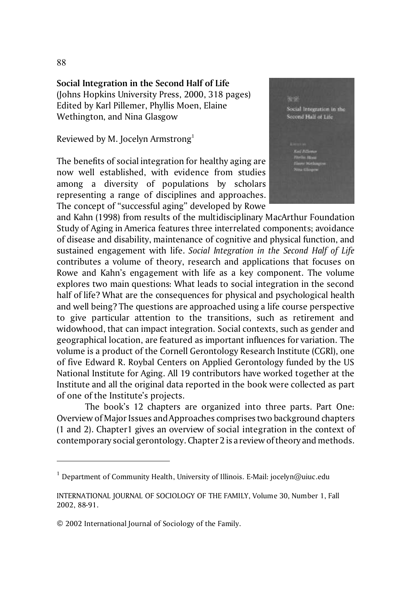**Social Integration in the Second Half of Life**

(Johns Hopkins University Press, 2000, 318 pages) Edited by Karl Pillemer, Phyllis Moen, Elaine Wethington, and Nina Glasgow

Reviewed by M. Jocelyn Armstrong<sup>1</sup>

The benefits of social integration for healthy aging are now well established, with evidence from studies among a diversity of populations by scholars representing a range of disciplines and approaches. The concept of "successful aging" developed by Rowe



and Kahn (1998) from results of the multidisciplinary MacArthur Foundation Study of Aging in America features three interrelated components; avoidance of disease and disability, maintenance of cognitive and physical function, and sustained engagement with life. *Social Integration in the Second Half of Life* contributes a volume of theory, research and applications that focuses on Rowe and Kahn's engagement with life as a key component. The volume explores two main questions: What leads to social integration in the second half of life? What are the consequences for physical and psychological health and well being? The questions are approached using a life course perspective to give particular attention to the transitions, such as retirement and widowhood, that can impact integration. Social contexts, such as gender and geographical location, are featured as important influences for variation. The volume is a product of the Cornell Gerontology Research Institute (CGRl), one of five Edward R. Roybal Centers on Applied Gerontology funded by the US National Institute for Aging. All 19 contributors have worked together at the Institute and all the original data reported in the book were collected as part of one of the Institute's projects.

The book's 12 chapters are organized into three parts. Part One: Overview of Major Issues and Approaches comprises two background chapters (1 and 2). Chapter1 gives an overview of social integration in the context of contemporary social gerontology. Chapter 2 is a review of theory and methods.

88

<sup>&</sup>lt;sup>1</sup> Department of Community Health, University of Illinois. E-Mail: jocelyn@uiuc.edu

INTERNATIONAL JOURNAL OF SOCIOLOGY OF THE FAMILY, Volume 30, Number 1, Fall 2002, 88-91.

<sup>© 2002</sup> International Journal of Sociology of the Family.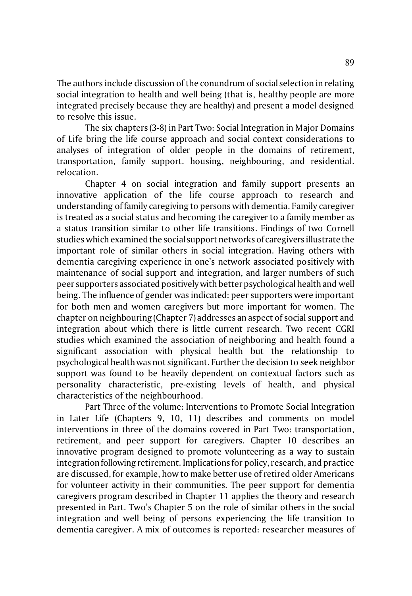The authors include discussion of the conundrum of social selection in relating social integration to health and well being (that is, healthy people are more integrated precisely because they are healthy) and present a model designed to resolve this issue.

The six chapters (3-8) in Part Two: Social Integration in Major Domains of Life bring the life course approach and social context considerations to analyses of integration of older people in the domains of retirement, transportation, family support. housing, neighbouring, and residential. relocation.

Chapter 4 on social integration and family support presents an innovative application of the life course approach to research and understanding of family caregiving to persons with dementia. Family caregiver is treated as a social status and becoming the caregiver to a family member as a status transition similar to other life transitions. Findings of two Cornell studies which examined the social support networks of caregivers illustrate the important role of similar others in social integration. Having others with dementia caregiving experience in one's network associated positively with maintenance of social support and integration, and larger numbers of such peer supporters associated positively with better psychological health and well being. The influence of gender was indicated: peer supporters were important for both men and women caregivers but more important for women. The chapter on neighbouring (Chapter 7) addresses an aspect of social support and integration about which there is little current research. Two recent CGRI studies which examined the association of neighboring and health found a significant association with physical health but the relationship to psychological health was not significant. Further the decision to seek neighbor support was found to be heavily dependent on contextual factors such as personality characteristic, pre-existing levels of health, and physical characteristics of the neighbourhood.

Part Three of the volume: Interventions to Promote Social Integration in Later Life (Chapters 9, 10, 11) describes and comments on model interventions in three of the domains covered in Part Two: transportation, retirement, and peer support for caregivers. Chapter 10 describes an innovative program designed to promote volunteering as a way to sustain integration following retirement. Implications for policy, research, and practice are discussed, for example, how to make better use of retired older Americans for volunteer activity in their communities. The peer support for dementia caregivers program described in Chapter 11 applies the theory and research presented in Part. Two's Chapter 5 on the role of similar others in the social integration and well being of persons experiencing the life transition to dementia caregiver. A mix of outcomes is reported: researcher measures of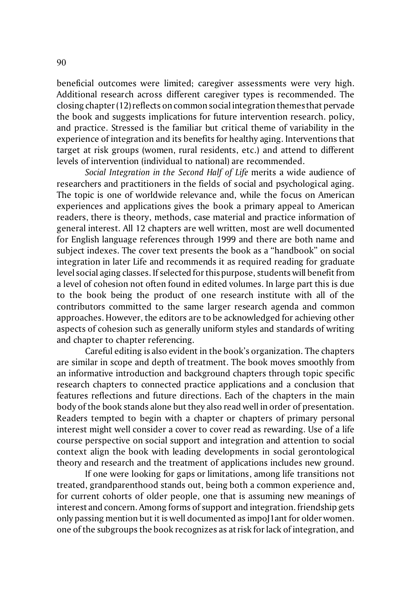beneficial outcomes were limited; caregiver assessments were very high. Additional research across different caregiver types is recommended. The closing chapter (12) reflects on common social integration themes that pervade the book and suggests implications for future intervention research. policy, and practice. Stressed is the familiar but critical theme of variability in the experience of integration and its benefits for healthy aging. Interventions that target at risk groups (women, rural residents, etc.) and attend to different levels of intervention (individual to national) are recommended.

*Social Integration in the Second Half of Life* merits a wide audience of researchers and practitioners in the fields of social and psychological aging. The topic is one of worldwide relevance and, while the focus on American experiences and applications gives the book a primary appeal to American readers, there is theory, methods, case material and practice information of general interest. All 12 chapters are well written, most are well documented for English language references through 1999 and there are both name and subject indexes. The cover text presents the book as a "handbook" on social integration in later Life and recommends it as required reading for graduate level social aging classes. If selected for this purpose, students will benefit from a level of cohesion not often found in edited volumes. In large part this is due to the book being the product of one research institute with all of the contributors committed to the same larger research agenda and common approaches. However, the editors are to be acknowledged for achieving other aspects of cohesion such as generally uniform styles and standards of writing and chapter to chapter referencing.

Careful editing is also evident in the book's organization. The chapters are similar in scope and depth of treatment. The book moves smoothly from an informative introduction and background chapters through topic specific research chapters to connected practice applications and a conclusion that features reflections and future directions. Each of the chapters in the main body of the book stands alone but they also read well in order of presentation. Readers tempted to begin with a chapter or chapters of primary personal interest might well consider a cover to cover read as rewarding. Use of a life course perspective on social support and integration and attention to social context align the book with leading developments in social gerontological theory and research and the treatment of applications includes new ground.

If one were looking for gaps or limitations, among life transitions not treated, grandparenthood stands out, being both a common experience and, for current cohorts of older people, one that is assuming new meanings of interest and concern. Among forms of support and integration. friendship gets only passing mention but it is well documented as impoJ1ant for older women. one of the subgroups the book recognizes as at risk for lack of integration, and